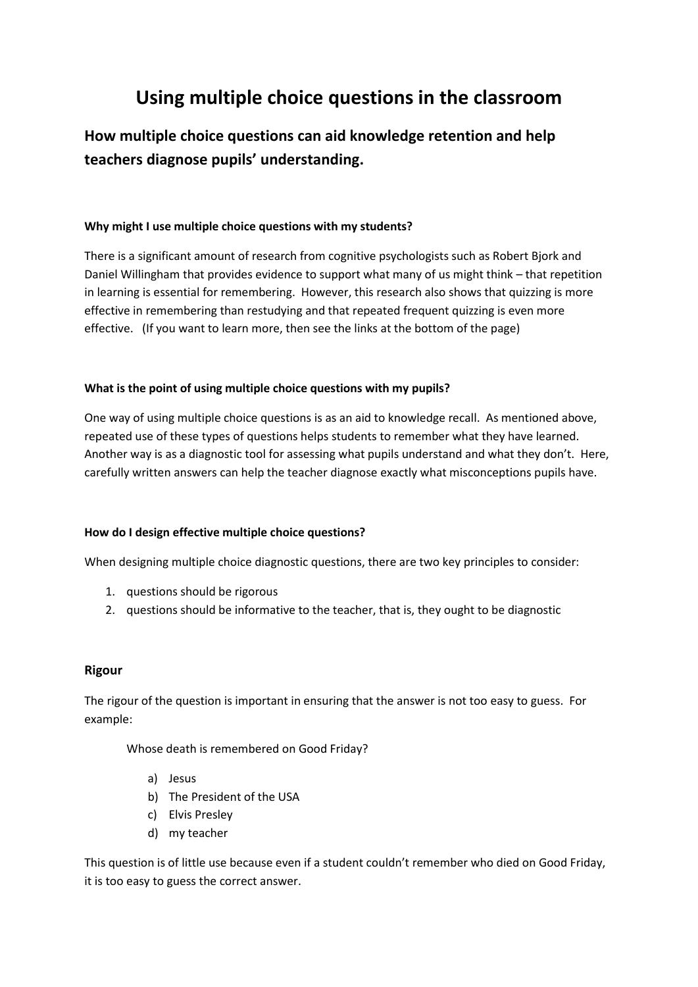# **Using multiple choice questions in the classroom**

**How multiple choice questions can aid knowledge retention and help teachers diagnose pupils' understanding.**

### **Why might I use multiple choice questions with my students?**

There is a significant amount of research from cognitive psychologists such as Robert Bjork and Daniel Willingham that provides evidence to support what many of us might think – that repetition in learning is essential for remembering. However, this research also shows that quizzing is more effective in remembering than restudying and that repeated frequent quizzing is even more effective. (If you want to learn more, then see the links at the bottom of the page)

### **What is the point of using multiple choice questions with my pupils?**

One way of using multiple choice questions is as an aid to knowledge recall. As mentioned above, repeated use of these types of questions helps students to remember what they have learned. Another way is as a diagnostic tool for assessing what pupils understand and what they don't. Here, carefully written answers can help the teacher diagnose exactly what misconceptions pupils have.

## **How do I design effective multiple choice questions?**

When designing multiple choice diagnostic questions, there are two key principles to consider:

- 1. questions should be rigorous
- 2. questions should be informative to the teacher, that is, they ought to be diagnostic

## **Rigour**

The rigour of the question is important in ensuring that the answer is not too easy to guess. For example:

Whose death is remembered on Good Friday?

- a) Jesus
- b) The President of the USA
- c) Elvis Presley
- d) my teacher

This question is of little use because even if a student couldn't remember who died on Good Friday, it is too easy to guess the correct answer.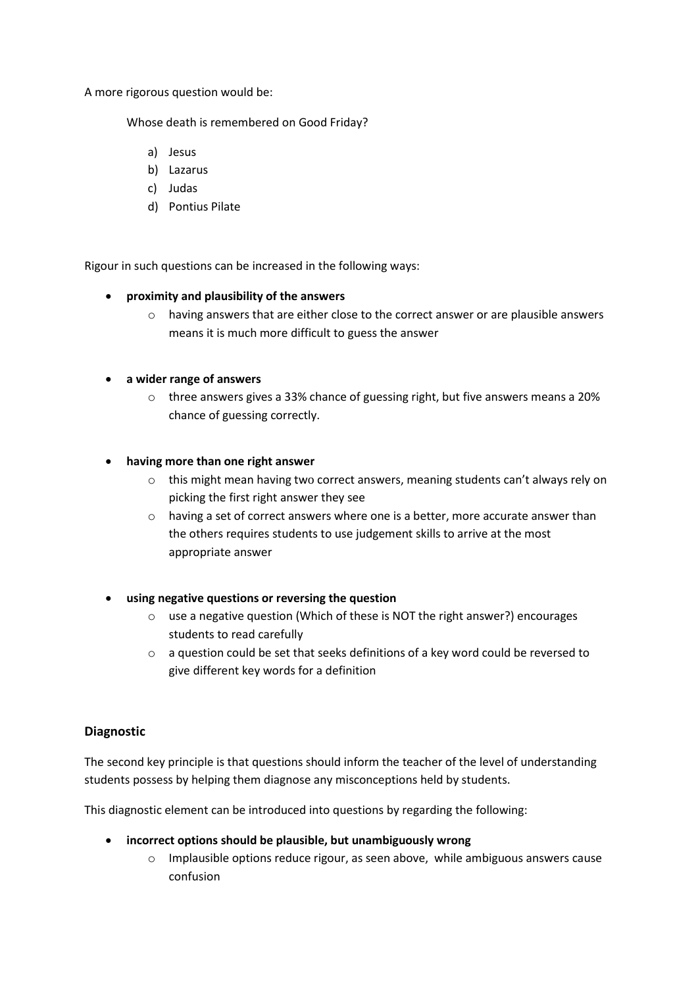A more rigorous question would be:

Whose death is remembered on Good Friday?

- a) Jesus
- b) Lazarus
- c) Judas
- d) Pontius Pilate

Rigour in such questions can be increased in the following ways:

## **proximity and plausibility of the answers**

o having answers that are either close to the correct answer or are plausible answers means it is much more difficult to guess the answer

### **a wider range of answers**

o three answers gives a 33% chance of guessing right, but five answers means a 20% chance of guessing correctly.

### **having more than one right answer**

- $\circ$  this might mean having two correct answers, meaning students can't always rely on picking the first right answer they see
- o having a set of correct answers where one is a better, more accurate answer than the others requires students to use judgement skills to arrive at the most appropriate answer
- **using negative questions or reversing the question**
	- o use a negative question (Which of these is NOT the right answer?) encourages students to read carefully
	- $\circ$  a question could be set that seeks definitions of a key word could be reversed to give different key words for a definition

## **Diagnostic**

The second key principle is that questions should inform the teacher of the level of understanding students possess by helping them diagnose any misconceptions held by students.

This diagnostic element can be introduced into questions by regarding the following:

- **incorrect options should be plausible, but unambiguously wrong**
	- $\circ$  Implausible options reduce rigour, as seen above, while ambiguous answers cause confusion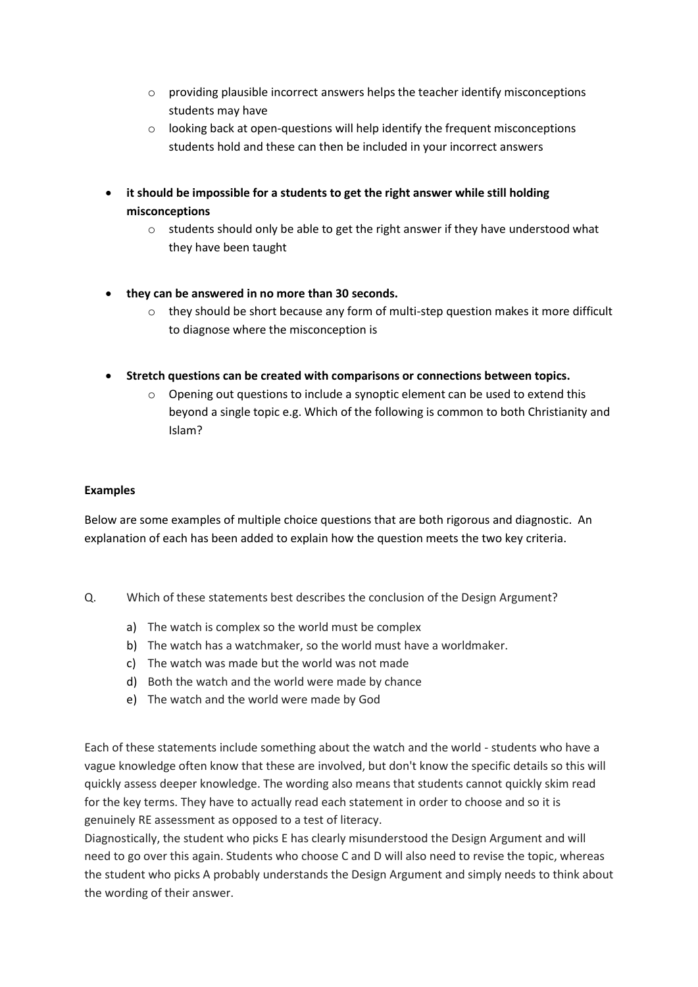- o providing plausible incorrect answers helps the teacher identify misconceptions students may have
- o looking back at open-questions will help identify the frequent misconceptions students hold and these can then be included in your incorrect answers
- **it should be impossible for a students to get the right answer while still holding misconceptions**
	- o students should only be able to get the right answer if they have understood what they have been taught
- **they can be answered in no more than 30 seconds.**
	- $\circ$  they should be short because any form of multi-step question makes it more difficult to diagnose where the misconception is
- **Stretch questions can be created with comparisons or connections between topics.**
	- o Opening out questions to include a synoptic element can be used to extend this beyond a single topic e.g. Which of the following is common to both Christianity and Islam?

## **Examples**

Below are some examples of multiple choice questions that are both rigorous and diagnostic. An explanation of each has been added to explain how the question meets the two key criteria.

- Q. Which of these statements best describes the conclusion of the Design Argument?
	- a) The watch is complex so the world must be complex
	- b) The watch has a watchmaker, so the world must have a worldmaker.
	- c) The watch was made but the world was not made
	- d) Both the watch and the world were made by chance
	- e) The watch and the world were made by God

Each of these statements include something about the watch and the world - students who have a vague knowledge often know that these are involved, but don't know the specific details so this will quickly assess deeper knowledge. The wording also means that students cannot quickly skim read for the key terms. They have to actually read each statement in order to choose and so it is genuinely RE assessment as opposed to a test of literacy.

Diagnostically, the student who picks E has clearly misunderstood the Design Argument and will need to go over this again. Students who choose C and D will also need to revise the topic, whereas the student who picks A probably understands the Design Argument and simply needs to think about the wording of their answer.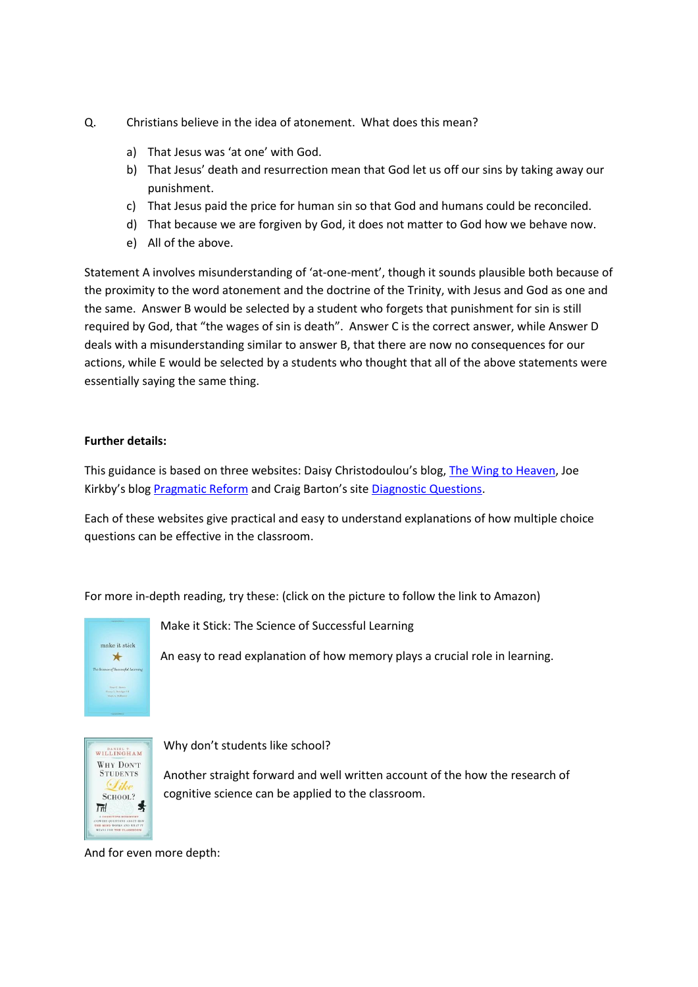- Q. Christians believe in the idea of atonement. What does this mean?
	- a) That Jesus was 'at one' with God.
	- b) That Jesus' death and resurrection mean that God let us off our sins by taking away our punishment.
	- c) That Jesus paid the price for human sin so that God and humans could be reconciled.
	- d) That because we are forgiven by God, it does not matter to God how we behave now.
	- e) All of the above.

Statement A involves misunderstanding of 'at-one-ment', though it sounds plausible both because of the proximity to the word atonement and the doctrine of the Trinity, with Jesus and God as one and the same. Answer B would be selected by a student who forgets that punishment for sin is still required by God, that "the wages of sin is death". Answer C is the correct answer, while Answer D deals with a misunderstanding similar to answer B, that there are now no consequences for our actions, while E would be selected by a students who thought that all of the above statements were essentially saying the same thing.

#### **Further details:**

This guidance is based on three websites: Daisy Christodoulou's blog, [The Wing to Heaven,](https://thewingtoheaven.wordpress.com/2013/10/06/closed-questions-and-higher-order-thinking/) Joe Kirkby's blog [Pragmatic Reform](https://pragmaticreform.wordpress.com/2014/04/12/mcqdesign/) and Craig Barton's site [Diagnostic Questions.](https://www.diagnosticquestions.com/Learn#about)

Each of these websites give practical and easy to understand explanations of how multiple choice questions can be effective in the classroom.

For more in-depth reading, try these: (click on the picture to follow the link to Amazon)



Make it Stick: The Science of Successful Learning

An easy to read explanation of how memory plays a crucial role in learning.



Why don't students like school?

Another straight forward and well written account of the how the research of cognitive science can be applied to the classroom.

And for even more depth: